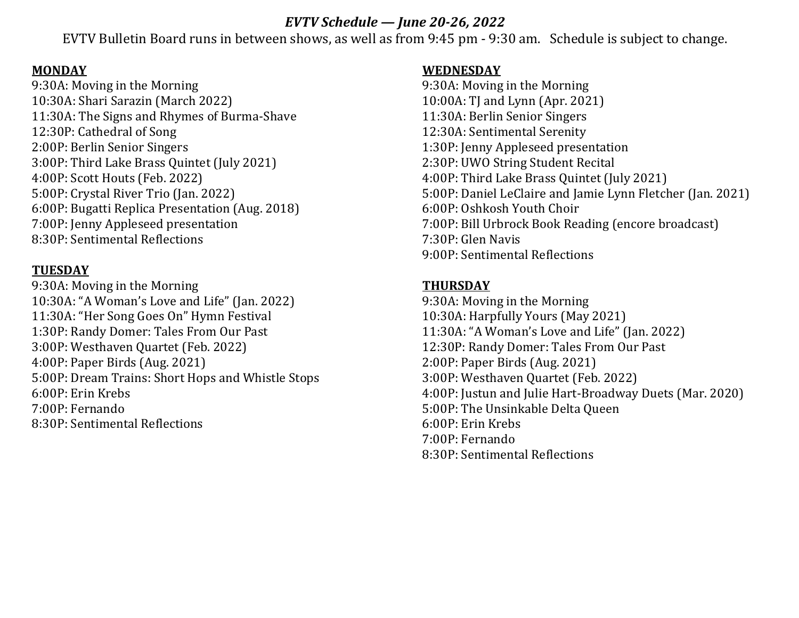## *EVTV Schedule — June 20-26, 2022*

EVTV Bulletin Board runs in between shows, as well as from 9:45 pm ‐ 9:30 am. Schedule is subject to change.

#### **MONDAY**

9:30A: Moving in the Morning 10:30A: Shari Sarazin (March 2022) 11:30A: The Signs and Rhymes of Burma-Shave 12:30P: Cathedral of Song 2:00P: Berlin Senior Singers 3:00P: Third Lake Brass Quintet (July 2021) 4:00P: Scott Houts (Feb. 2022) 5:00P: Crystal River Trio (Jan. 2022) 6:00P: Bugatti Replica Presentation (Aug. 2018) 7:00P: Jenny Appleseed presentation 8:30P: Sentimental Reflections

## **TUESDAY**

9:30A: Moving in the Morning 10:30A: "A Woman's Love and Life" (Jan. 2022) 11:30A: "Her Song Goes On" Hymn Festival 1:30P: Randy Domer: Tales From Our Past 3:00P: Westhaven Quartet (Feb. 2022) 4:00P: Paper Birds (Aug. 2021) 5:00P: Dream Trains: Short Hops and Whistle Stops 6:00P: Erin Krebs 7:00P: Fernando 8:30P: Sentimental Reflections

#### **WEDNESDAY**

9:30A: Moving in the Morning 10:00A: TJ and Lynn (Apr. 2021) 11:30A: Berlin Senior Singers 12:30A: Sentimental Serenity 1:30P: Jenny Appleseed presentation 2:30P: UWO String Student Recital 4:00P: Third Lake Brass Quintet (July 2021) 5:00P: Daniel LeClaire and Jamie Lynn Fletcher (Jan. 2021) 6:00P: Oshkosh Youth Choir 7:00P: Bill Urbrock Book Reading (encore broadcast) 7:30P: Glen Navis 9:00P: Sentimental Reflections

# **THURSDAY**

9:30A: Moving in the Morning 10:30A: Harpfully Yours (May 2021) 11:30A: "A Woman's Love and Life" (Jan. 2022) 12:30P: Randy Domer: Tales From Our Past 2:00P: Paper Birds (Aug. 2021) 3:00P: Westhaven Quartet (Feb. 2022) 4:00P: Justun and Julie Hart-Broadway Duets (Mar. 2020) 5:00P: The Unsinkable Delta Queen 6:00P: Erin Krebs 7:00P: Fernando 8:30P: Sentimental Reflections